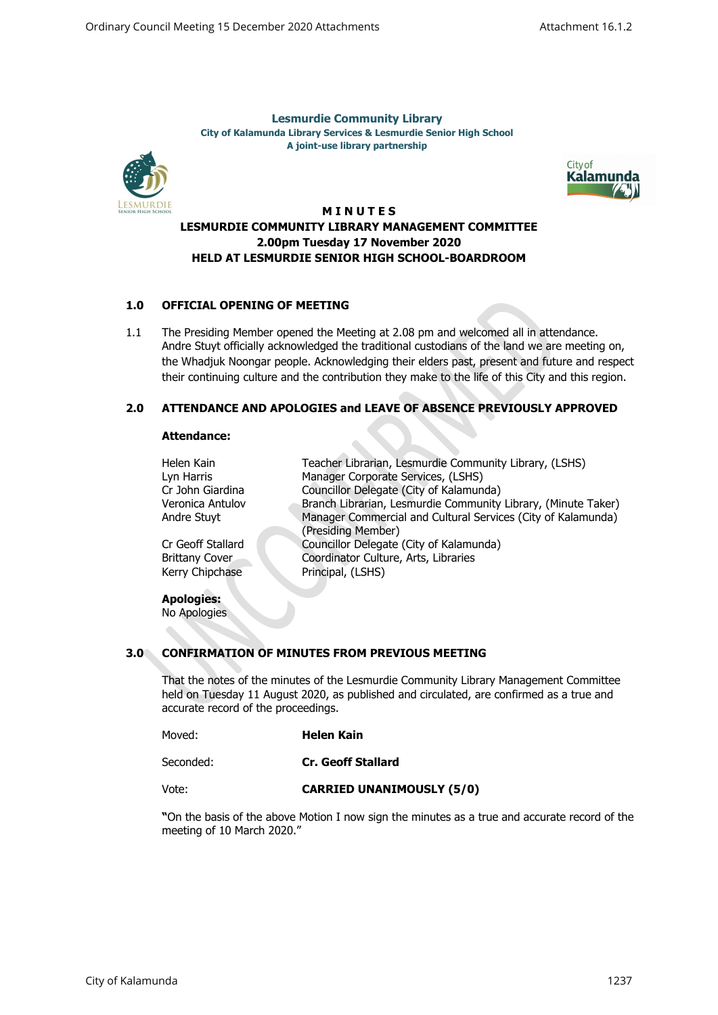**Lesmurdie Community Library City of Kalamunda Library Services & Lesmurdie Senior High School A joint-use library partnership**





### **M I N U T E S**

## **LESMURDIE COMMUNITY LIBRARY MANAGEMENT COMMITTEE 2.00pm Tuesday 17 November 2020 HELD AT LESMURDIE SENIOR HIGH SCHOOL-BOARDROOM**

## **1.0 OFFICIAL OPENING OF MEETING**

1.1 The Presiding Member opened the Meeting at 2.08 pm and welcomed all in attendance. Andre Stuyt officially acknowledged the traditional custodians of the land we are meeting on, the Whadjuk Noongar people. Acknowledging their elders past, present and future and respect their continuing culture and the contribution they make to the life of this City and this region.

## **2.0 ATTENDANCE AND APOLOGIES and LEAVE OF ABSENCE PREVIOUSLY APPROVED**

### **Attendance:**

| Helen Kain            | Teacher Librarian, Lesmurdie Community Library, (LSHS)        |
|-----------------------|---------------------------------------------------------------|
| Lyn Harris            | Manager Corporate Services, (LSHS)                            |
| Cr John Giardina      | Councillor Delegate (City of Kalamunda)                       |
| Veronica Antulov      | Branch Librarian, Lesmurdie Community Library, (Minute Taker) |
| Andre Stuyt           | Manager Commercial and Cultural Services (City of Kalamunda)  |
|                       | (Presiding Member)                                            |
| Cr Geoff Stallard     | Councillor Delegate (City of Kalamunda)                       |
| <b>Brittany Cover</b> | Coordinator Culture, Arts, Libraries                          |
| Kerry Chipchase       | Principal, (LSHS)                                             |
|                       |                                                               |
| <b>Apologies:</b>     |                                                               |
| No Apologies          |                                                               |

# **3.0 CONFIRMATION OF MINUTES FROM PREVIOUS MEETING**

That the notes of the minutes of the Lesmurdie Community Library Management Committee held on Tuesday 11 August 2020, as published and circulated, are confirmed as a true and accurate record of the proceedings.

| Moved:    | <b>Helen Kain</b>  |
|-----------|--------------------|
| Seconded: | Cr. Geoff Stallard |

Vote: **CARRIED UNANIMOUSLY (5/0)**

**"**On the basis of the above Motion I now sign the minutes as a true and accurate record of the meeting of 10 March 2020."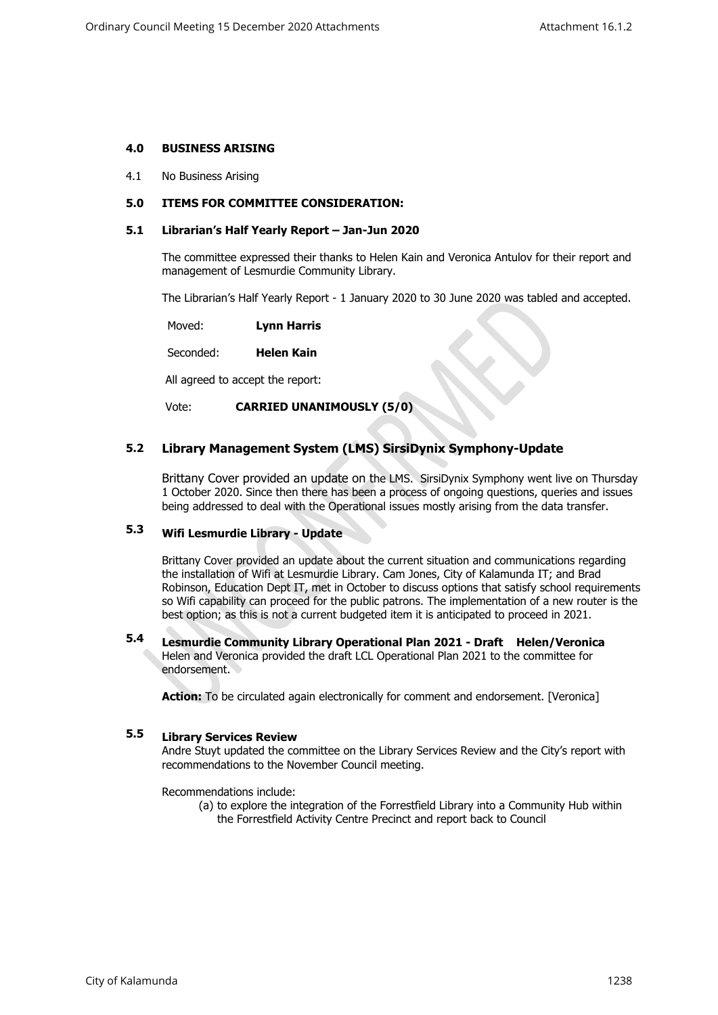### **4.0 BUSINESS ARISING**

4.1 No Business Arising

### **5.0 ITEMS FOR COMMITTEE CONSIDERATION:**

### **5.1 Librarian's Half Yearly Report – Jan-Jun 2020**

The committee expressed their thanks to Helen Kain and Veronica Antulov for their report and management of Lesmurdie Community Library.

The Librarian's Half Yearly Report - 1 January 2020 to 30 June 2020 was tabled and accepted.

Moved: **Lynn Harris**

Seconded: **Helen Kain**

All agreed to accept the report:

Vote: **CARRIED UNANIMOUSLY (5/0)**

#### **5.2 Library Management System (LMS) SirsiDynix Symphony-Update**

Brittany Cover provided an update on the LMS. SirsiDynix Symphony went live on Thursday 1 October 2020. Since then there has been a process of ongoing questions, queries and issues being addressed to deal with the Operational issues mostly arising from the data transfer.

#### **5.3 Wifi Lesmurdie Library - Update**

Brittany Cover provided an update about the current situation and communications regarding the installation of Wifi at Lesmurdie Library. Cam Jones, City of Kalamunda IT; and Brad Robinson, Education Dept IT, met in October to discuss options that satisfy school requirements so Wifi capability can proceed for the public patrons. The implementation of a new router is the best option; as this is not a current budgeted item it is anticipated to proceed in 2021.

### **5.4 Lesmurdie Community Library Operational Plan 2021 - Draft Helen/Veronica** Helen and Veronica provided the draft LCL Operational Plan 2021 to the committee for endorsement.

**Action:** To be circulated again electronically for comment and endorsement. [Veronica]

#### **5.5 Library Services Review**

Andre Stuyt updated the committee on the Library Services Review and the City's report with recommendations to the November Council meeting.

Recommendations include:

(a) to explore the integration of the Forrestfield Library into a Community Hub within the Forrestfield Activity Centre Precinct and report back to Council